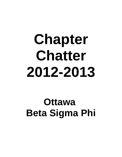# **Chapter Chatter 2012-2013**

## **Ottawa Beta Sigma Phi**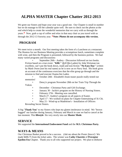#### **ALPHA MASTER Chapter Chatter 2012-2013**

We greet our Sisters and hope your year was a good one. Our Chapter is small in number but we do manage to fill the calendar quite well. Be sure to check out the photos at the end which help to create the wonderful memories that we carry with us through the years.**\*** Now, grab a cup of coffee and relax in that easy chair as you travel with us through the 2012-13 Sorority year. **\*Note: Photos do not accompany this version.**

#### **PROGRAM**

We meet twice a month. Our first meeting takes the form of a Luncheon at a restaurant. The Hostess for our Business Meeting provides a scrumptious lunch, sometimes complete with wine, and then the Program is presented, followed by the business portion. We had many varied programs and discussions:

• September 26th - Audrey - Discussion followed on two books. Fiction based on a true event **"KBL"** (Kill Bin Laden) by John Weisman (an excellent, can't put the book down, read) and non-fiction **"No Easy Day"** written by Mark Owen (not his real name) as he is now an ex-Navy Seal. His book gives an account of the continuous exercises that the elite group go through and the mission to find and execute Osama bin Laden.

• October 24th - Elizabeth's brain teaser puzzle really tested our memories!

• Dency's program November 28th on her Train Trip Through the Yukon.

- December Christmas Party and Gift Exchange.
- January 30 Jackie's program on the History of Nursing Sisters.
- February 27th Meeting was cancelled.
- March 27- Audrey's program on all aspects of Easter.
- April 17 We worked on plans for Chapter Entertaining of Xi Chi.
- May 21 Wind-up at Madeleine's Installation of Officers

Revealing Secret Sisters.

A big "**Thank You**" to my Sisters who kept my gluten intolerance in mind. We "brown bagged" our lunches during January, February and March in case we had to cancel at the last moment. This **lifestyle** fits very nicely into our **Master Mode**.

#### **SERVICE**

We supported the **International Endowment Fund** and the **M.S. Christmas Party.**

#### **WAYS & MEANS**

Our Christmas Basket proved to be a success. (*Ask me about the Poster fiasco!)* We made \$406.75 from the ticket sales. The winner was **Cathy Charette** of **Preceptor Epsilon Eta** Chapter. Thank you to all who supported our project. We plan to disburse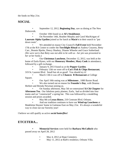the funds on May 21st.

#### **SOCIAL**

• September 12, 2012, **Beginning Day**, saw us dining at The New Dubrovnik.

• October 10th found us at **Al's Steakhouse**.

• On November 14th, Heather Murphy and Carol MacKeigan of **Laureate Alpha Upsilon** joined us for lunch at **Macie's** in their search to "put down roots".

• We attended en masse City Council's **Fall Event** held November 17th at the RA Centre to confer the **Torchlight Ritual** on Audrey Couzens, Betty Carr., Bonnie Bjerke, Dency Sharkey, Dianne Wheeler and Grace Sutherland*. (We were sorry that Betty was not able to be with us - her pin was presented to her at her home.)*

• Our **Christmas Luncheon**, December 12, 2012, was held at the home of Earla Hynes, with our **Honorary Member, Mary Cook** in attendance, followed by a gift exchange.

• January 9, 2013 found us at the **Pepper Garden**.

• February 13th we were off to **Cat's Fish & Chips Restaurant**, 319 St. Laurent Blvd. Small but oh so good! You should try it!

• March 13th it was off to **Chances R Restaurant** at College Square.

• Our April 10th outing was at **Milestones** , 1080 Baxter Road.

• We also turned out en masse for **Founder's Day**, with Deanna Herbert and Brenda Newman joining us.

• On Sunday afternoon, May 5th we entertained **Xi Chi Chapter** for **Afternoon Tea**. Our fabulous party planner, Earla, had us divided into four teams and we "constructed" a spring hat. This was followed by a modelling session and prizes awarded.

• May 8th at **Lexus Bistro**, 210 Centrum Blvd. Orleans.

• And our tradition continues to have our **Wind-up Luncheon** at Madeleine Haynes' home in Gatineau East on May 21st. It's always a wonderful way to close out our Sorority year!

I believe we still qualify as active *social butterflies***!**

#### **ETCETERA...**

**• Memorial Services** were held for **Barbara McCulloch** who passed away on April 28, 2012

- May 4, 2012 at Hope Cemetery.
- May 11, 2012 at Barb's residence, Orleans Villa.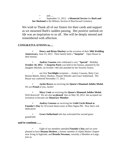$\bullet$  and...... • September 21, 2012 - a **Memorial Service** for **Barb and her Husband** at the Military Section of Beechwood Cemetery.

We wish to Thank all of our Sisters for their cards and support as we mourned Barb's sudden passing. Her *positive outlook on life* was an inspiration to us all. She will be deeply missed and remembered with affection.

#### **CONGRATULATIONS to.....**

**• Dency and Brian Sharkey** on the occasion of their **50th Wedding Anniversary**, June 23, 2012. Their family held a **"Surprise"** Open House in their honour.

**• Audrey Couzens** who celebrated a very **"Special"** Birthday **October 10, 2012**. A **Surprise Party** was held in her honour, planned by her daughter Michele, on October 14th and attended by her Sorority Sisters.

• our first **Torchlight** recipients -- Audrey Couzens, Betty Carr, Bonnie Bjerke, Dency Sharkey, Dianne Wheeler and Grace Sutherland. The Ritual was conferred November 17, 2012.

**• Jackie Brewe** on receiving the **Queen's Diamond Jubilee Medal**. We are **Proud** of you, Jackie!

**• Mary Cook** on receiving the **Queen's Diamond Jubilee Medal**. Well deserved! We are also **so pleased** that on May 30, 2012, she accepted our invitation to become our **Honorary Member**.

**• Audrey Couzens** on receiving her **Gold Circle Ritual at Founder's Day** for 50 (count them) years in Beta Sigma Phi. Now that's real dedication!

**Grace Sutherland** who has welcomed her second greatgrandchild.

#### **and to continue.......**

• Eight of our members attended **Founder's Day** and we were pleased to have **Deanna Herbert**, a former member of Alpha Master Chapter now living in Ingleside, and **Brenda Newman**, currently a Member-at-Large, join us.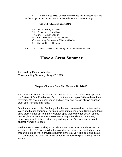• We still miss **Betty Carr** at our meetings and luncheons as she is unable to get out and about. We want her to know she is in our thoughts.

• Our **OFFICERS** for **2013-2014**:

President - Audrey Couzens Vice-President - Earla Hynes Treasurer - Dency Sharkey Recording Secretary - Jackie Brewe Corresponding Secretary - Dianne Wheeler City Council Rep - Rotating

*And.....Guess what?....There is one change in the Executive this year!* 

#### **\_\_\_\_\_\_\_\_\_\_Have a Great Summer \_\_\_\_\_\_\_\_\_**

Prepared by Dianne Wheeler Corresponding Secretary, May 27, 2013

#### **Chapter Chatter - Beta Rho Master - 2012-2013**

You're Among Friends, International's theme for 2012-2013 certainly applies to the Sisters of Beta Rho Master. Our current membership of 16 have been friends for years. We share our challenges and our joys; and we can always count on each other for a helping hand.

Our finances are simple. Our budget for the year is covered by our fees and a Ways and Means tradition of having a raffle at most meetings. Sisters who travel bring back a small gift from their vacation spot; those who don't travel offer a unique gift from here. We also have a recycling raffle, sisters contributing something from their homes that they no longer use. One woman's discard is another woman's treasure!

We have social events with just our sisters; we have mixed socials as well; and we attend all of CC events. All of the costs for our socials are divided amongst those who attend which provides gourmet dinners at very little cost and it's all fun. Our sisters are excellent cooks either for our fellowship at meetings or our socials.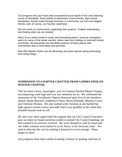Our programs this year have been exceptional as we spoke of the ever widening circles of friendship. Some talked of elementary school friends, high school friendships, friends made through business or community, our furry four-legged friends, and, of course, our Sorority sisterhood.

We are active at Council level, supporting their projects, Chapter entertaining, and helping when we are needed.

Many of our sisters travel to exotic and interesting places, some go someplace warm for some of the winter months, others take mini holidays to visit with friends and family. We frequently see wonderful pictures of these places with commentary that is informative and personal.

Beta Rho Master Sisters are all interesting and warm women doing interesting and caring things.

#### **SUBMISSION TO CHAPTER CHATTER FROM GAMMA EPSILON MASTER CHAPTER.**

This has been a busy, meaningful year for Gamma Epsilon Master Chapter encompassing some high and very low moments for us. We celebrated the attainment of the Torchbearer Degree bestowed upon five of our members, namely Diane Maxwell, Kathleen O'Shea, Moira Williams, Marilyn Crowe and Christine Watson. We also walked with Christine as she battled her fight against ovarian cancer and sadly had to say goodbye to her when that dreadful disease took its toll.

We also very much appreciated the support that our City Council Executive gave us when we found ourselves unable to attend City Council meetings yet still wanted to be actively involved. We were allowed to vote by email and our folder contents were mailed to us by Nancy or by electronic mail. We tried to alleviate the cost by making a donation to cover postage. Many thanks to them.

Our programs have been varied including a history of quilting with lots of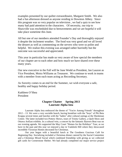examples presented by our quilter extraordinaire, Margaret Smith. We also had a fun afternoon dressed as anyone residing in Downton Abbey. Since this program was so very popular on television , we had a quiz to see how many had paid attention to the characters. Of necessity, our trip to Shawville was rescheduled due to bereavements and we are hopeful it will take place sometime this June.

All but one of our members attended Founder's Day and thoroughly enjoyed it despite the inclement weather. The food was very good and we all loved the dessert as well as commenting on the servers who were so polite and helpful. We realize this evening was arranged rather hurriedly but the outcome was successful and appreciated.

This year in particular has made us very aware of how special the members of our chapter are to each other and how much we have shared over these many years.

Our new executive in the Fall will be June Wedd as President, Jan Lauzon as Vice President, Moira Williams as Treasurer. We continue to work in teams with a member from each team acting as Recording Secretary.

As Sorority comes to an end for the Summer, we wish everyone a safe, healthy and happy holiday period.

Kathleen O'Shea President

#### **Chapter Chatter Spring 2013 Laureate Alpha Iota**

Laureate Alpha Iota embraced the theme of "You're Among Friends" throughout 2012 – 13. We were a very sociable bunch, having breakfast with the "boys" of Phi Beta Krappa several times and lunches with the "ladies" after cultural outings at the Shenkman Centre. The latter included two Pottery Shows, tours of Trinity Gallery, a Quilt Show and Ottawa ArtEast exhibits. In a cultural vein, a concert by the fantastic Bytown Beat was on our evening agenda. We supported the May Court "Homes for the Holidays" Tour, as we have in the past and this year we enjoyed a day in Vankleek Hill where they showcased incredible Victorian Homes decorated for Christmas.

Our year began with a beautiful lunch at The Goodness Gracious Café for Beginning Day. Socializing included a Christmas dinner catered by the Social Committee and a Christmas Mixed Social which combined friendship with giving as we collected gift cards for Cornerstone Shelter. We had already completed our major service project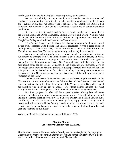for the year, filling and delivering 55 Christmas gift bags to the shelter.

We participated fully in City Council, with a member on the executive and another on the nominating committee. In the fall, three from our chapter attended the east end Rushing Event, and two sisters were officiants at the Torchbearer Ritual / Fall Luncheon. We donated to City Council's Christmas Auction and of course were eager purchasers!

¾ of our chapter attended Founder's Day, as Terrie Kember was honoured with the Golden Circle and Olivia Thompson, Sherrill Crowder and Evelyn Wiltshire were recognized with the Silver Circle. We were thrilled to congratulate Janet Bedard and Margie Lee Gallagher who shared Sister of the Year honours.

"Tea Among Friends" was the theme for Chapter Entertaining and we welcomed sisters from Preceptor Delta Epsilon and invited transferees. It was a great afternoon highlighted by a beautiful tea table, delicious refreshments and warm friendship. Karen Hyland, a transferee from Vancouver, subsequently decided to join our chapter.

As always our cultural programs were varied, thought-provoking and intriguing. We listened to excerpts from "The Little Princes," a book about child slavery in Nepal, and the "Book of Awesome." A program based on the book "The Irish Heart" gave us insight into Irish immigration to Canada. Our Plant and Good Stuff Sale in the fall not only raised funds for our chapter activities, it, and a program on Perennials, gave us knowledge about growing beautiful gardens. A guest speaker told us about Seed Banks in Ethiopia and we also learned about food plants, including chia, hemp and quinoa, which are more recent to North American agriculture. We shared childhood food memories as a "program off the shelf."

The American election in November led us to explore small political parties in the U.S. and the contributions of some of the "Women Behind the Presidents." We learned about the history, the protocol and the glamour of the Viennese Opera Ball, which one of our members was lucky enough to attend. Our Movie Nights included the "Best Marigold Hotel and "Morning Glory," both of which provided relaxing enjoyment.

Our final program in May will be a guest speaker relating how education programs in India are important to empower young women. The official year end will include a Planning Meeting for next year, a Chapter Dinner and a Mixed BBQ in June. Unofficially we will get together to explore gardens, enjoy Ottawa's many cultural events, or just have lunch. Being "among friends" to share our ups and downs has made us a stronger group and happier, less stressed individuals. We are looking forward to next year and "lighting up our lives!"

Written by Margie Lee Gallagher and Nancy Reid, April 2013.

#### **Chapter Chatter Laureate Phi Sorority Year 2012-2013**

The sisters of Laureate Phi launched the Sorority year with a Beginning Day Olympics. Sisters and their families spent an afternoon of fun and games that started with a picnic lunch and ended with an awards ceremony and Olympic cake.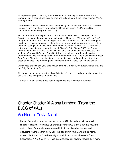As in previous years, our programs provided an opportunity for new interests and learning. Our presentations were diverse and in keeping with the year's Theme "You're Among Friends".

Laureate Phi social calendar included entertaining our sisters from Zeta and Laureate Lamda, a wine and cheese event, chapter Christmas dinner, St. Patrick's Day celebration and attending Founder's Day.

This year, Laureate Phi sponsored a multi-faceted event, which encompassed the Sorority's concept of social, cultural and service. The event, "All about WE and Tea", brought together over 20 local young women entrepreneurs. In addition to selling their goods and services the venue enabled them to network and converse with each other and other young women who were interested in becoming a "WE". A Tea Room was setup where guests were served by two of Ottawa's Beta Sigma Phi Torch Bearers. Information on the 160 Girls Project was available and donations were collected. As well, the "One World Grannies" sold their Kazuri jewelry to raise funds for African grandmothers who are caring for children orphaned by AIDS. The event also introduced Beta Sigma Phi to the participants and community in general and demonstrated our credo to balance "Life, Learning and Friendship" and "Culture, Service and Social".

Our service projects this year also included the M.S. Society, the Endowment Fund, and the Fairy Godmother Project.

All chapter members are excited about finishing off our year, and are looking forward to our Girls Good Bye potluck in early June.

We wish all of our sisters' good health, happiness and a wonderful summer!

## Chapter Chatter Xi Alpha Lambda (From the BLOG of XAL)

#### Accidental Trivia Night

For our first cultural / social night of the year XAL planned a movie night with snacks & chatting. We ended up chatting so much we didn't pick out a movie to watch. One of our main topics were odd tidbits or trivia about actors and discussing where are they now. Eg: The lead guy in NCIS…..what's his name… where is he from….St Elsewhere…right….and do you know who else is from St Elsewhere….? No !! really ?!? We also discussed our favorite movies, how many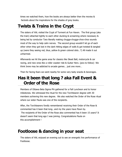times we watched them, how the books are always better then the movies & factoids about the inspirations for the shades of grey books.

## **Twists & Trains in the Crypt**

The sisters of XAL visited the Crypt of Torment at Fun Haven. The first group (aka the train) attached tightly to each other ducking & screaming where necessary & being led by conductor Tara literally making chugga-chugga-choo-choo sounds most of the way to help calm nerves. The second group wouldn't let go of each other when they got lost in the dark hitting edges of walls & got twisted & tangled up (were they seeing red, blue, yellow & green colored dots…?) All made it out unharmed.

Afterwards we hit the game area for classics like Skeet Ball, motorcycle & car racing, and new ones like a roller coaster ride & Guitar Hero. (pics to follow) We think Irene may be addicted to arcade games… just one more…

Then for facing fears we went nearby for some very tasty snacks & beverages.

## **Has it been that long ? aka Fall Event & Order of the Rose**

Members of Ottawa Beta Sigma Phi gathered for a Fall Luncheon and to honor milestones. We witnessed the ritual for the new Torchbearer degree with 30 members achieving this new degree. We also watched the Order of the Rose ritual where our sister Paula was one of the recipients.

After, the Torchbearers fondly remembered receiving their Order of the Rose & commented has it been that long…and my the years have flown by. The recipients of the Order of the Rose also commented has it been 15 years? It doesn't seem that long ago I was joining. Congratulations Paula on this accomplishment !

## **Footloose & dancing in your seat**

The sisters of XAL enjoyed an evening out to see an energetic live performance of Footloose.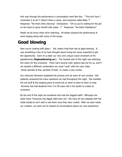Part way through the performance a conversation went like this: " This isn't how I remember it at all !!! Wasn't there a camp…and someone called Baby ?" Response: "No that's Dirty Dancing" Interjection: "Oh so you're waiting for the girl on the stool to spray herself with water…?" Response: "No that's Flashdance"

Really we do know what we're watching. All sisters enjoyed the performance & were singing along with many of the songs.

## **Good blowing**

Now you're cooking with glass ! XAL sisters tried their lips at glass blowing. It was something a few of us have thought about trying but never expected to get the opportunity. Each of us blew our very own unique round ornament at Flo glassblowing (**floglassblowing.ca/**). The hardest part of the night was selecting the colors for the ornament. There were several color options laid out for us, and if we wanted a different combination we could "cook" with the color chips (think sprinkle of this, sprinkle of that) to create a new combo.

Our instructor Bronwen explained the process and we were all very excited. She patiently answered the many questions we had throughout the night. She handled the hot stuff & the shaping parts & would tell us when to blow & when to stop. Bronwen has had students from 2 to 96 years old in the studio to create an ornament.

By the end of the night we wondered who had the biggest balls? Although one sister knew "Everyone has bigger balls than me". We were all very pleased with the initial results & can't wait to see them once they have cooled. After we each made our creation, we went out for dessert & conversations about our new experience.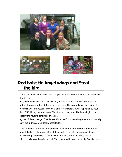





## **Red twist tie Angel wings and Steal the bird**

XALs Christmas party started with supper out at Fratelli's & then back to Michelle's for dessert.

Oh, the hummingbird just flew away, you'll have to find another one…was one attempt to prevent the bird from getting stolen. No! you walk over here & get it yourself…was the response the next time it was stolen. What happened to your bird ? It's hiding…very far away! Was the next response. The hummingbird was clearly the favorite ornament this year.

Quote of the exchange: "I stole, see I'm a thief" not something one would normally say, but in this context totally acceptable.

Then we talked about favorite personal ornaments & how we decorate the tree, and if the kids help or not. One of the oldest ornaments was an angel topper whose wings are heavy & held on with a red twist tie & supported with a strategically placed cardboard roll. This generated lots of comments. We discussed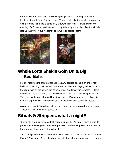other family traditions, when we could open gifts or the stockings & a shared tradition of new PJ's on Christmas eve. We asked Michelle just what her moose was doing & found ..oh it looks completely different from <that> angle. During the opening of gifts we noticed Santa's box is pretty unique and choir director Michelle lead us in saying "your welcome" since we're all secret sisters.





## **Whole Lotta Shakin Goin On & Big Red Balls**

For our first meeting after Christmas break XAL decided to shake off the winter blahs by movin & groovin to Just Dance 3 & Just Dance 4. Trying to keep up with the characters on the screen can be very tiring, and lots of fun to watch !! Battle mode was very entertaining too since some of us have a serious competitive side. Then to slow the pace down a little bit we played Wipeout and had a difficult time with the big red balls. This game was also a lot more physical than expected.

As one sister put it "You didn't tell me this is what we were doing for games night… I thought it would be board games !!!"

## **Rituals & Strippers, what a night!!**

It certainly is a ritual for some that enjoy a strip club. I'm sure it takes a ritual to prepare before going on stage if your profession involves stripping. But neither of those are what happened with us tonight.

XAL held a pledge ritual for three new sisters. Welcome new XAL members Tammy, Emem & Shannon!! Before the ritual, we talked about a pole dancing class, known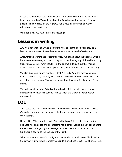to some as a stripper class. And we also talked about seeing the movie Les Mis… best summarized as "Something about the French revolution, whores & homeless people". Then to close off the night we had a rousing discussion about the education system in Ontario.

What can I say, we have interesting meetings !

## **Lessons in writing**

XAL went for a tour of Chrysalis House to hear about the good work they do & learn some scary statistics on the number of women in need of assistance.

Afterwards we went to Jack Astors for food. We talked about the waitress writing her name upside down, so, …next thing you know the majority of the table is trying this…with some very funny results. In the end we did figure out that it's not <that> hard to print your name upside down, but to write it…that's another story.

We also discussed writing numbers & that 2, 3, 5, & 7 are the most commonly written backwards by children, which led to early childhood education talks & the new play based learning. That was an interesting discussion for the moms & non moms.

The sick one at the table (Windy) showed us her full ponytail sneeze, it was impressive how much her pony tail moved when she sneezed..looked rather unpleasant.

## **LOL**

XAL hosted their 7th annual Absolute Comedy night in support of Chrysalis House. Chrysalis House provides emergency shelter and support to abused women and their children.

Upon asking 'Where are the under 30′s in the house?' the host got cheers & a boo…sadly as one ages, the boo starts to make sense. Special acknowledgement to Cathy & Nancy for getting the message out when the host asked about our fundraiser & adding to the comedy of the night.

When your parent says LOL, it might not mean what it usually does. Think back to the days of writing letters & what you sign to a loved one … with lots of love … LOL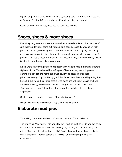right? Not quite the same when signing a sympathy card … Sorry for your loss, LOL or Sorry you're sick, LOL has a slightly different meaning than intended.

Quote of the night: Sit ups, once you lie down you're done.

#### **Shoes, shoes & more shoes**

Every May long weekend there is a Naturalizer shoe sale in Perth. It's the type of sale that you definitely come out with multiple pairs because it's way below half price. It's a sale good enough that even husbands are ok with going (and I might even say some enjoy it) since they get to have real input on selections of shoes & purses. XAL had a great turnout with Tara, Nicole, Windy, Shannon, Nancy. Paula & Michelle even brought their mom's too.

Emem went crazy trying stuff on, especially with Nancy's help in bringing different styles & widths. Tara allowed herself a pair of bonus shoes, she only planned on getting two but got one more cuz it just couldn't be passed up for that price. Shannon got 5 pairs, Nancy got 7, but Emem took the cake with getting 9 for herself & picking up 6 pairs for others…yes ladies she left with 15 pairs of shoes. AAwwwwweee yyeeeeaaahhh. The rest of us got 2-3 pairs of shoes each. Everyone had a blast & then they all went out for lunch to celebrate the new acquisitions.

Quotes from the event: Nancy: "I bought joy shoes"

Windy was ecstatic as she said: "They even have my size!!!"

## **Elaborate mud pies**

Try making pottery on a wheel. Cross another one off the bucket list.

The first thing Windy asks: "Do you play the Ghost sound track? Do you get asked that alot ?" Our instructor Jennifer patiently says no & yes. The next thing she asked " Do I have to get my hands dirty? I really hate getting my hands dirty, is that a problem?" At that point we all realize…Oh this is going to be a fun experience!!